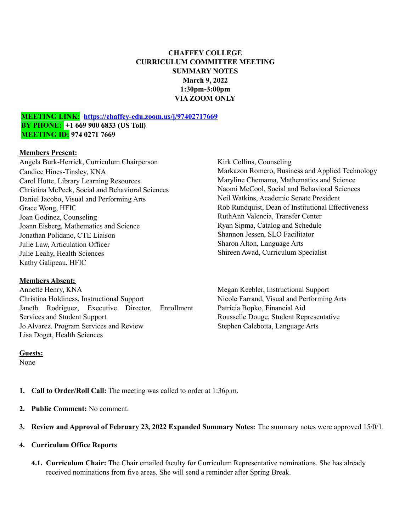# **CHAFFEY COLLEGE CURRICULUM COMMITTEE MEETING SUMMARY NOTES March 9, 2022 1:30pm-3:00pm VIA ZOOM ONLY**

### **MEETING LINK: <https://chaffey-edu.zoom.us/j/97402717669> BY PHONE: +1 669 900 6833 (US Toll) MEETING ID: 974 0271 7669**

### **Members Present:**

Angela Burk-Herrick, Curriculum Chairperson Candice Hines-Tinsley, KNA Carol Hutte, Library Learning Resources Christina McPeck, Social and Behavioral Sciences Daniel Jacobo, Visual and Performing Arts Grace Wong, HFIC Joan Godinez, Counseling Joann Eisberg, Mathematics and Science Jonathan Polidano, CTE Liaison Julie Law, Articulation Officer Julie Leahy, Health Sciences Kathy Galipeau, HFIC

## **Members Absent:**

Annette Henry, KNA Christina Holdiness, Instructional Support Janeth Rodriguez, Executive Director, Enrollment Services and Student Support Jo Alvarez. Program Services and Review Lisa Doget, Health Sciences

Kirk Collins, Counseling Markazon Romero, Business and Applied Technology Maryline Chemama, Mathematics and Science Naomi McCool, Social and Behavioral Sciences Neil Watkins, Academic Senate President Rob Rundquist, Dean of Institutional Effectiveness RuthAnn Valencia, Transfer Center Ryan Sipma, Catalog and Schedule Shannon Jessen, SLO Facilitator Sharon Alton, Language Arts Shireen Awad, Curriculum Specialist

Megan Keebler, Instructional Support Nicole Farrand, Visual and Performing Arts Patricia Bopko, Financial Aid Rousselle Douge, Student Representative Stephen Calebotta, Language Arts

### **Guests:**

None

**1. Call to Order/Roll Call:** The meeting was called to order at 1:36p.m.

- **2. Public Comment:** No comment.
- **3. Review and Approval of February 23, 2022 Expanded Summary Notes:** The summary notes were approved 15/0/1.
- **4. Curriculum Office Reports**
	- **4.1. Curriculum Chair:** The Chair emailed faculty for Curriculum Representative nominations. She has already received nominations from five areas. She will send a reminder after Spring Break.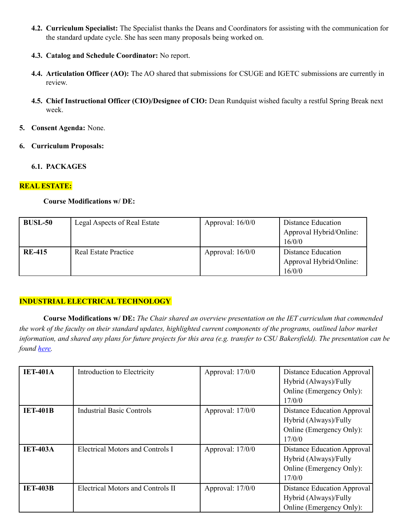- **4.2. Curriculum Specialist:** The Specialist thanks the Deans and Coordinators for assisting with the communication for the standard update cycle. She has seen many proposals being worked on.
- **4.3. Catalog and Schedule Coordinator:** No report.
- **4.4. Articulation Officer (AO):** The AO shared that submissions for CSUGE and IGETC submissions are currently in review.
- **4.5. Chief Instructional Officer (CIO)/Designee of CIO:** Dean Rundquist wished faculty a restful Spring Break next week.
- **5. Consent Agenda:** None.
- **6. Curriculum Proposals:**

### **6.1. PACKAGES**

### **REAL ESTATE:**

### **Course Modifications w/ DE:**

| <b>BUSL-50</b> | Legal Aspects of Real Estate | Approval: $16/0/0$ | Distance Education<br>Approval Hybrid/Online:<br>16/0/0 |
|----------------|------------------------------|--------------------|---------------------------------------------------------|
| <b>RE-415</b>  | Real Estate Practice         | Approval: $16/0/0$ | Distance Education<br>Approval Hybrid/Online:<br>16/0/0 |

## **INDUSTRIAL ELECTRICAL TECHNOLOGY**

**Course Modifications w/ DE:** *The Chair shared an overview presentation on the IET curriculum that commended* the work of the faculty on their standard updates, highlighted current components of the programs, outlined labor market information, and shared any plans for future projects for this area (e.g. transfer to CSU Bakersfield). The presentation can be *found [here.](https://drive.google.com/file/d/1m9oLOc0xqIpyG_vRf4W35QR2CZTijXnV/view?usp=sharing)*

| <b>IET-401A</b> | Introduction to Electricity       | Approval: $17/0/0$ | Distance Education Approval<br>Hybrid (Always)/Fully<br>Online (Emergency Only):<br>17/0/0 |
|-----------------|-----------------------------------|--------------------|--------------------------------------------------------------------------------------------|
| <b>IET-401B</b> | <b>Industrial Basic Controls</b>  | Approval: $17/0/0$ | Distance Education Approval<br>Hybrid (Always)/Fully<br>Online (Emergency Only):<br>17/0/0 |
| <b>IET-403A</b> | Electrical Motors and Controls I  | Approval: $17/0/0$ | Distance Education Approval<br>Hybrid (Always)/Fully<br>Online (Emergency Only):<br>17/0/0 |
| <b>IET-403B</b> | Electrical Motors and Controls II | Approval: 17/0/0   | Distance Education Approval<br>Hybrid (Always)/Fully<br>Online (Emergency Only):           |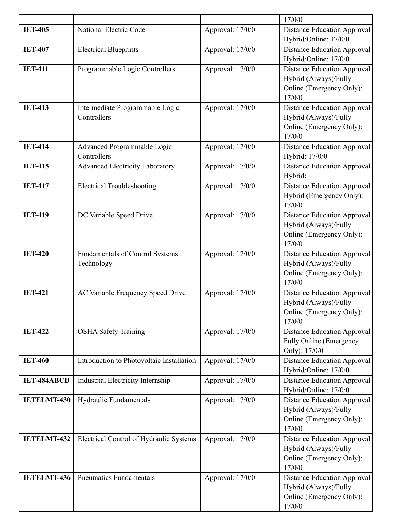|                    |                                                      |                  | 17/0/0                                                                                            |
|--------------------|------------------------------------------------------|------------------|---------------------------------------------------------------------------------------------------|
| <b>IET-405</b>     | National Electric Code                               | Approval: 17/0/0 | <b>Distance Education Approval</b><br>Hybrid/Online: 17/0/0                                       |
| <b>IET-407</b>     | <b>Electrical Blueprints</b>                         | Approval: 17/0/0 | <b>Distance Education Approval</b><br>Hybrid/Online: 17/0/0                                       |
| <b>IET-411</b>     | Programmable Logic Controllers                       | Approval: 17/0/0 | <b>Distance Education Approval</b><br>Hybrid (Always)/Fully<br>Online (Emergency Only):<br>17/0/0 |
| <b>IET-413</b>     | Intermediate Programmable Logic<br>Controllers       | Approval: 17/0/0 | <b>Distance Education Approval</b><br>Hybrid (Always)/Fully<br>Online (Emergency Only):<br>17/0/0 |
| <b>IET-414</b>     | Advanced Programmable Logic<br>Controllers           | Approval: 17/0/0 | <b>Distance Education Approval</b><br>Hybrid: 17/0/0                                              |
| <b>IET-415</b>     | <b>Advanced Electricity Laboratory</b>               | Approval: 17/0/0 | <b>Distance Education Approval</b><br>Hybrid:                                                     |
| <b>IET-417</b>     | <b>Electrical Troubleshooting</b>                    | Approval: 17/0/0 | <b>Distance Education Approval</b><br>Hybrid (Emergency Only):<br>17/0/0                          |
| <b>IET-419</b>     | DC Variable Speed Drive                              | Approval: 17/0/0 | <b>Distance Education Approval</b><br>Hybrid (Always)/Fully<br>Online (Emergency Only):<br>17/0/0 |
| <b>IET-420</b>     | <b>Fundamentals of Control Systems</b><br>Technology | Approval: 17/0/0 | <b>Distance Education Approval</b><br>Hybrid (Always)/Fully<br>Online (Emergency Only):<br>17/0/0 |
| <b>IET-421</b>     | AC Variable Frequency Speed Drive                    | Approval: 17/0/0 | <b>Distance Education Approval</b><br>Hybrid (Always)/Fully<br>Online (Emergency Only):<br>17/0/0 |
| <b>IET-422</b>     | <b>OSHA Safety Training</b>                          | Approval: 17/0/0 | <b>Distance Education Approval</b><br><b>Fully Online (Emergency</b><br>Only): 17/0/0             |
| <b>IET-460</b>     | Introduction to Photovoltaic Installation            | Approval: 17/0/0 | <b>Distance Education Approval</b><br>Hybrid/Online: 17/0/0                                       |
| <b>IET-484ABCD</b> | <b>Industrial Electricity Internship</b>             | Approval: 17/0/0 | <b>Distance Education Approval</b><br>Hybrid/Online: 17/0/0                                       |
| <b>IETELMT-430</b> | Hydraulic Fundamentals                               | Approval: 17/0/0 | <b>Distance Education Approval</b><br>Hybrid (Always)/Fully<br>Online (Emergency Only):<br>17/0/0 |
| <b>IETELMT-432</b> | Electrical Control of Hydraulic Systems              | Approval: 17/0/0 | <b>Distance Education Approval</b><br>Hybrid (Always)/Fully<br>Online (Emergency Only):<br>17/0/0 |
| <b>IETELMT-436</b> | <b>Pneumatics Fundamentals</b>                       | Approval: 17/0/0 | <b>Distance Education Approval</b><br>Hybrid (Always)/Fully<br>Online (Emergency Only):<br>17/0/0 |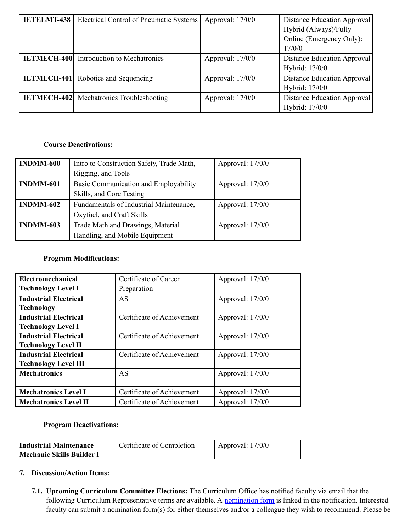| <b>IETELMT-438</b> | Electrical Control of Pneumatic Systems         | Approval: 17/0/0   | Distance Education Approval<br>Hybrid (Always)/Fully<br>Online (Emergency Only):<br>17/0/0 |
|--------------------|-------------------------------------------------|--------------------|--------------------------------------------------------------------------------------------|
| <b>IETMECH-400</b> | Introduction to Mechatronics                    | Approval: 17/0/0   | <b>Distance Education Approval</b><br>Hybrid: 17/0/0                                       |
| <b>IETMECH-401</b> | Robotics and Sequencing                         | Approval: 17/0/0   | Distance Education Approval<br>Hybrid: 17/0/0                                              |
|                    | <b>IETMECH-402</b> Mechatronics Troubleshooting | Approval: $17/0/0$ | Distance Education Approval<br>Hybrid: 17/0/0                                              |

# **Course Deactivations:**

| <b>INDMM-600</b> | Intro to Construction Safety, Trade Math, | Approval: 17/0/0 |
|------------------|-------------------------------------------|------------------|
|                  | Rigging, and Tools                        |                  |
| <b>INDMM-601</b> | Basic Communication and Employability     | Approval: 17/0/0 |
|                  | Skills, and Core Testing                  |                  |
| <b>INDMM-602</b> | Fundamentals of Industrial Maintenance,   | Approval: 17/0/0 |
|                  | Oxyfuel, and Craft Skills                 |                  |
| <b>INDMM-603</b> | Trade Math and Drawings, Material         | Approval: 17/0/0 |
|                  | Handling, and Mobile Equipment            |                  |

# **Program Modifications:**

| Electromechanical            | Certificate of Career      | Approval: 17/0/0   |
|------------------------------|----------------------------|--------------------|
| <b>Technology Level I</b>    | Preparation                |                    |
| <b>Industrial Electrical</b> | AS                         | Approval: 17/0/0   |
| <b>Technology</b>            |                            |                    |
| <b>Industrial Electrical</b> | Certificate of Achievement | Approval: 17/0/0   |
| <b>Technology Level I</b>    |                            |                    |
| <b>Industrial Electrical</b> | Certificate of Achievement | Approval: $17/0/0$ |
| <b>Technology Level II</b>   |                            |                    |
| <b>Industrial Electrical</b> | Certificate of Achievement | Approval: $17/0/0$ |
| <b>Technology Level III</b>  |                            |                    |
| <b>Mechatronics</b>          | AS                         | Approval: 17/0/0   |
|                              |                            |                    |
| <b>Mechatronics Level I</b>  | Certificate of Achievement | Approval: 17/0/0   |
| <b>Mechatronics Level II</b> | Certificate of Achievement | Approval: 17/0/0   |

## **Program Deactivations:**

| Industrial Maintenance    | Certificate of Completion | Approval: $17/0/0$ |
|---------------------------|---------------------------|--------------------|
| Mechanic Skills Builder I |                           |                    |

# **7. Discussion/Action Items:**

**7.1. Upcoming Curriculum Committee Elections:** The Curriculum Office has notified faculty via email that the following Curriculum Representative terms are available. A [nomination](https://forms.gle/VusmxpxYuJpkV4Wm8) form is linked in the notification. Interested faculty can submit a nomination form(s) for either themselves and/or a colleague they wish to recommend. Please be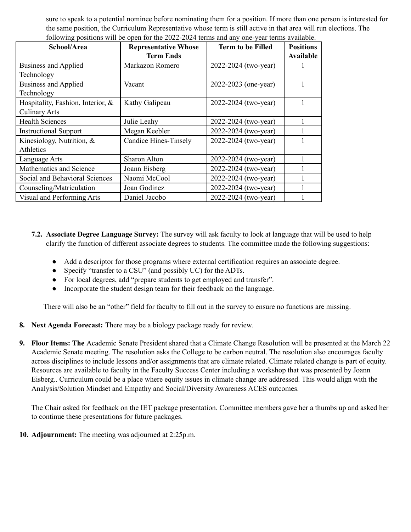sure to speak to a potential nominee before nominating them for a position. If more than one person is interested for the same position, the Curriculum Representative whose term is still active in that area will run elections. The following positions will be open for the 2022-2024 terms and any one-year terms available.

| School/Area                       | <b>Representative Whose</b>  | <b>Term to be Filled</b> | <b>Positions</b> |
|-----------------------------------|------------------------------|--------------------------|------------------|
|                                   | <b>Term Ends</b>             |                          | Available        |
| Business and Applied              | Markazon Romero              | 2022-2024 (two-year)     |                  |
| Technology                        |                              |                          |                  |
| <b>Business and Applied</b>       | Vacant                       | 2022-2023 (one-year)     |                  |
| Technology                        |                              |                          |                  |
| Hospitality, Fashion, Interior, & | Kathy Galipeau               | 2022-2024 (two-year)     |                  |
| <b>Culinary Arts</b>              |                              |                          |                  |
| <b>Health Sciences</b>            | Julie Leahy                  | 2022-2024 (two-year)     |                  |
| <b>Instructional Support</b>      | Megan Keebler                | 2022-2024 (two-year)     |                  |
| Kinesiology, Nutrition, $\&$      | <b>Candice Hines-Tinsely</b> | 2022-2024 (two-year)     |                  |
| Athletics                         |                              |                          |                  |
| Language Arts                     | <b>Sharon Alton</b>          | 2022-2024 (two-year)     |                  |
| Mathematics and Science           | Joann Eisberg                | 2022-2024 (two-year)     |                  |
| Social and Behavioral Sciences    | Naomi McCool                 | 2022-2024 (two-year)     |                  |
| Counseling/Matriculation          | Joan Godinez                 | 2022-2024 (two-year)     |                  |
| Visual and Performing Arts        | Daniel Jacobo                | 2022-2024 (two-year)     |                  |

- **7.2. Associate Degree Language Survey:** The survey will ask faculty to look at language that will be used to help clarify the function of different associate degrees to students. The committee made the following suggestions:
	- **●** Add a descriptor for those programs where external certification requires an associate degree.
	- **●** Specify "transfer to a CSU" (and possibly UC) for the ADTs.
	- **●** For local degrees, add "prepare students to get employed and transfer".
	- **●** Incorporate the student design team for their feedback on the language.

There will also be an "other" field for faculty to fill out in the survey to ensure no functions are missing.

- **8. Next Agenda Forecast:** There may be a biology package ready for review.
- **9. Floor Items: The** Academic Senate President shared that a Climate Change Resolution will be presented at the March 22 Academic Senate meeting. The resolution asks the College to be carbon neutral. The resolution also encourages faculty across disciplines to include lessons and/or assignments that are climate related. Climate related change is part of equity. Resources are available to faculty in the Faculty Success Center including a workshop that was presented by Joann Eisberg.. Curriculum could be a place where equity issues in climate change are addressed. This would align with the Analysis/Solution Mindset and Empathy and Social/Diversity Awareness ACES outcomes.

The Chair asked for feedback on the IET package presentation. Committee members gave her a thumbs up and asked her to continue these presentations for future packages.

**10. Adjournment:** The meeting was adjourned at 2:25p.m.